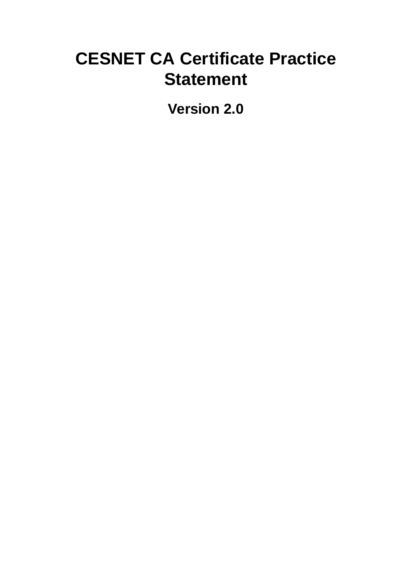# **CESNET CA Certificate Practice Statement**

**Version 2.0**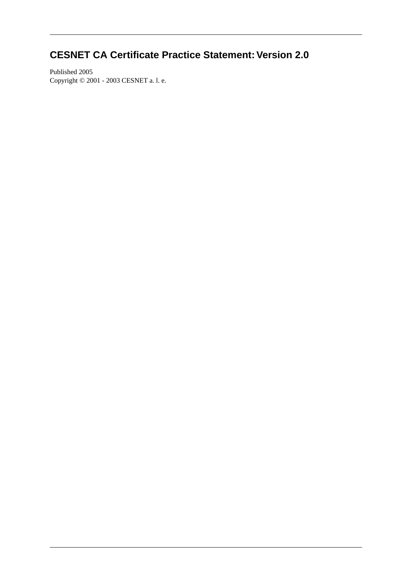## **CESNET CA Certificate Practice Statement: Version 2.0**

Published 2005 Copyright © 2001 - 2003 CESNET a. l. e.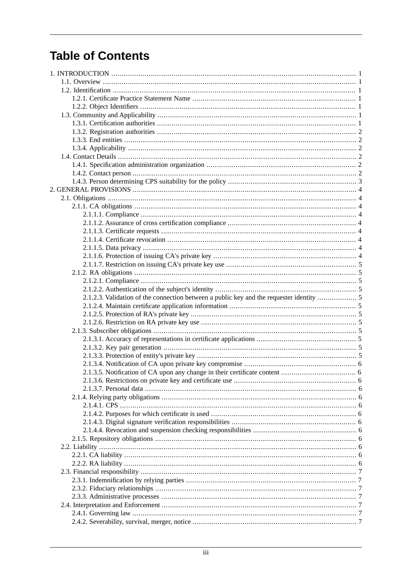# **Table of Contents**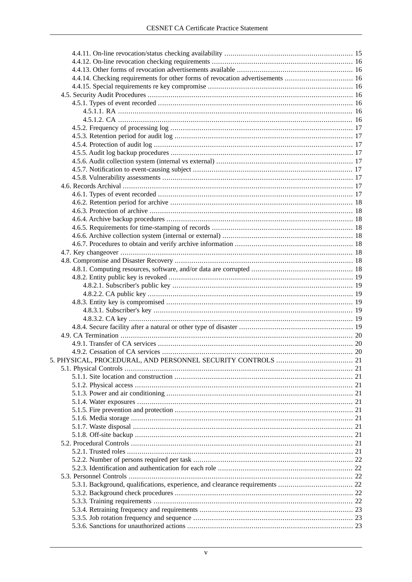| 4.4.14. Checking requirements for other forms of revocation advertisements  16 |  |  |
|--------------------------------------------------------------------------------|--|--|
|                                                                                |  |  |
|                                                                                |  |  |
|                                                                                |  |  |
|                                                                                |  |  |
|                                                                                |  |  |
|                                                                                |  |  |
|                                                                                |  |  |
|                                                                                |  |  |
|                                                                                |  |  |
|                                                                                |  |  |
|                                                                                |  |  |
|                                                                                |  |  |
|                                                                                |  |  |
|                                                                                |  |  |
|                                                                                |  |  |
|                                                                                |  |  |
|                                                                                |  |  |
|                                                                                |  |  |
|                                                                                |  |  |
|                                                                                |  |  |
|                                                                                |  |  |
|                                                                                |  |  |
|                                                                                |  |  |
|                                                                                |  |  |
|                                                                                |  |  |
|                                                                                |  |  |
|                                                                                |  |  |
|                                                                                |  |  |
|                                                                                |  |  |
|                                                                                |  |  |
|                                                                                |  |  |
|                                                                                |  |  |
|                                                                                |  |  |
|                                                                                |  |  |
|                                                                                |  |  |
|                                                                                |  |  |
|                                                                                |  |  |
|                                                                                |  |  |
|                                                                                |  |  |
|                                                                                |  |  |
|                                                                                |  |  |
|                                                                                |  |  |
|                                                                                |  |  |
|                                                                                |  |  |
|                                                                                |  |  |
|                                                                                |  |  |
|                                                                                |  |  |
|                                                                                |  |  |
|                                                                                |  |  |
|                                                                                |  |  |
|                                                                                |  |  |
|                                                                                |  |  |
|                                                                                |  |  |
|                                                                                |  |  |
|                                                                                |  |  |
|                                                                                |  |  |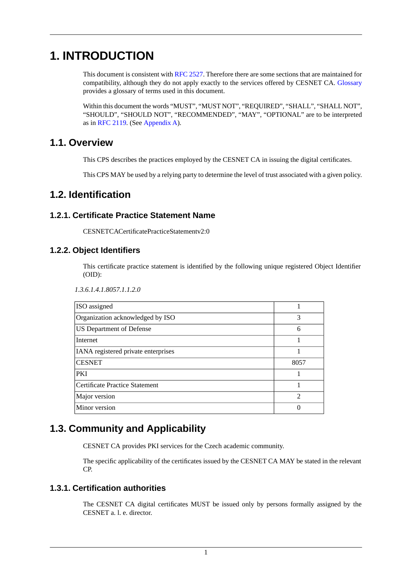# <span id="page-7-0"></span>**1. INTRODUCTION**

This document is consistent with [RFC 2527](#page-39-1). Therefore there are some sections that are maintained for compatibility, although they do not apply exactly to the services offered by CESNET CA. [Glossary](#page-38-0) provides a glossary of terms used in this document.

<span id="page-7-1"></span>Within this document the words "MUST", "MUST NOT", "REQUIRED", "SHALL", "SHALL NOT", "SHOULD", "SHOULD NOT", "RECOMMENDED", "MAY", "OPTIONAL" are to be interpreted as in [RFC 2119](#page-39-2). (See [Appendix A](#page-40-0)).

## **1.1. Overview**

<span id="page-7-2"></span>This CPS describes the practices employed by the CESNET CA in issuing the digital certificates.

<span id="page-7-3"></span>This CPS MAY be used by a relying party to determine the level of trust associated with a given policy.

## **1.2. Identification**

## **1.2.1. Certificate Practice Statement Name**

<span id="page-7-4"></span>CESNETCACertificatePracticeStatementv2:0

## **1.2.2. Object Identifiers**

This certificate practice statement is identified by the following unique registered Object Identifier (OID):

*1.3.6.1.4.1.8057.1.1.2.0*

| ISO assigned                        |               |
|-------------------------------------|---------------|
| Organization acknowledged by ISO    | 3             |
| <b>US Department of Defense</b>     | 6             |
| Internet                            |               |
| IANA registered private enterprises |               |
| <b>CESNET</b>                       | 8057          |
| <b>PKI</b>                          |               |
| Certificate Practice Statement      |               |
| Major version                       | $\mathcal{D}$ |
| Minor version                       |               |

## <span id="page-7-5"></span>**1.3. Community and Applicability**

<span id="page-7-6"></span>CESNET CA provides PKI services for the Czech academic community.

The specific applicability of the certificates issued by the CESNET CA MAY be stated in the relevant CP.

## **1.3.1. Certification authorities**

The CESNET CA digital certificates MUST be issued only by persons formally assigned by the CESNET a. l. e. director.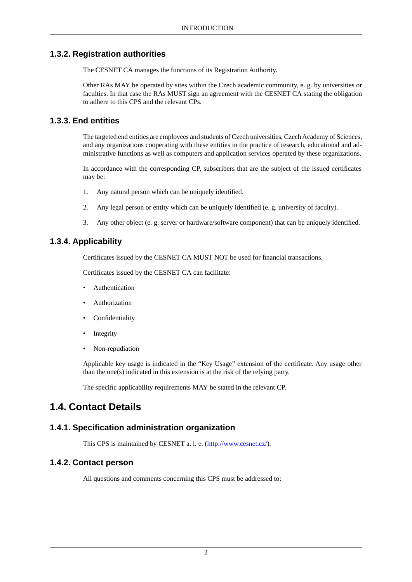## **1.3.2. Registration authorities**

<span id="page-8-0"></span>The CESNET CA manages the functions of its Registration Authority.

<span id="page-8-1"></span>Other RAs MAY be operated by sites within the Czech academic community, e. g. by universities or faculties. In that case the RAs MUST sign an agreement with the CESNET CA stating the obligation to adhere to this CPS and the relevant CPs.

## **1.3.3. End entities**

The targeted end entities are employees and students of Czech universities, Czech Academy of Sciences, and any organizations cooperating with these entities in the practice of research, educational and administrative functions as well as computers and application services operated by these organizations.

In accordance with the corresponding CP, subscribers that are the subject of the issued certificates may be:

- 1. Any natural person which can be uniquely identified.
- <span id="page-8-2"></span>2. Any legal person or entity which can be uniquely identified (e. g. university of faculty).
- 3. Any other object (e. g. server or hardware/software component) that can be uniquely identified.

## **1.3.4. Applicability**

Certificates issued by the CESNET CA MUST NOT be used for financial transactions.

Certificates issued by the CESNET CA can facilitate:

- **Authentication**
- **Authorization**
- **Confidentiality**
- **Integrity**
- Non-repudiation

<span id="page-8-3"></span>Applicable key usage is indicated in the "Key Usage" extension of the certificate. Any usage other than the one(s) indicated in this extension is at the risk of the relying party.

<span id="page-8-5"></span><span id="page-8-4"></span>The specific applicability requirements MAY be stated in the relevant CP.

## **1.4. Contact Details**

## **1.4.1. Specification administration organization**

This CPS is maintained by CESNET a. l. e. (<http://www.cesnet.cz/>).

## **1.4.2. Contact person**

All questions and comments concerning this CPS must be addressed to: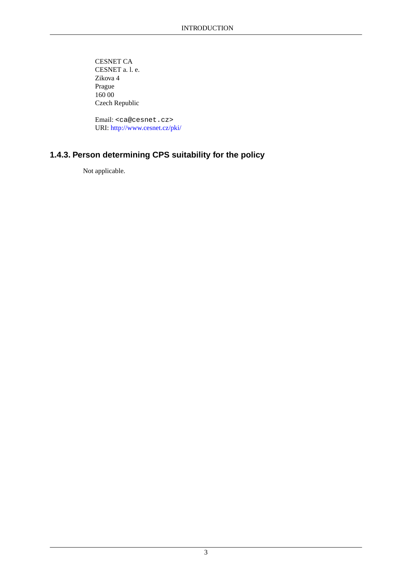CESNET CA CESNET a. l. e. Zikova 4 Prague 160 00 Czech Republic

<span id="page-9-0"></span> Email: <ca@cesnet.cz> URI: <http://www.cesnet.cz/pki/>

## **1.4.3. Person determining CPS suitability for the policy**

Not applicable.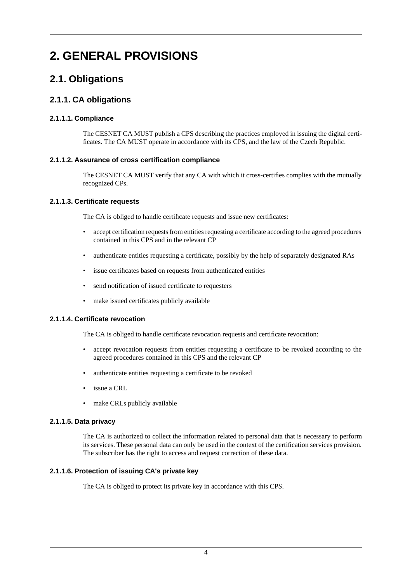# <span id="page-10-1"></span><span id="page-10-0"></span>**2. GENERAL PROVISIONS**

## <span id="page-10-2"></span>**2.1. Obligations**

## <span id="page-10-3"></span>**2.1.1. CA obligations**

#### **2.1.1.1. Compliance**

<span id="page-10-4"></span>The CESNET CA MUST publish a CPS describing the practices employed in issuing the digital certificates. The CA MUST operate in accordance with its CPS, and the law of the Czech Republic.

#### **2.1.1.2. Assurance of cross certification compliance**

<span id="page-10-5"></span>The CESNET CA MUST verify that any CA with which it cross-certifies complies with the mutually recognized CPs.

#### **2.1.1.3. Certificate requests**

The CA is obliged to handle certificate requests and issue new certificates:

- accept certification requests from entities requesting a certificate according to the agreed procedures contained in this CPS and in the relevant CP
- authenticate entities requesting a certificate, possibly by the help of separately designated RAs
- issue certificates based on requests from authenticated entities
- <span id="page-10-6"></span>• send notification of issued certificate to requesters
- make issued certificates publicly available

#### **2.1.1.4. Certificate revocation**

The CA is obliged to handle certificate revocation requests and certificate revocation:

- accept revocation requests from entities requesting a certificate to be revoked according to the agreed procedures contained in this CPS and the relevant CP
- <span id="page-10-7"></span>• authenticate entities requesting a certificate to be revoked
- issue a CRL
- <span id="page-10-8"></span>make CRLs publicly available

#### **2.1.1.5. Data privacy**

The CA is authorized to collect the information related to personal data that is necessary to perform its services. These personal data can only be used in the context of the certification services provision. The subscriber has the right to access and request correction of these data.

#### **2.1.1.6. Protection of issuing CA's private key**

The CA is obliged to protect its private key in accordance with this CPS.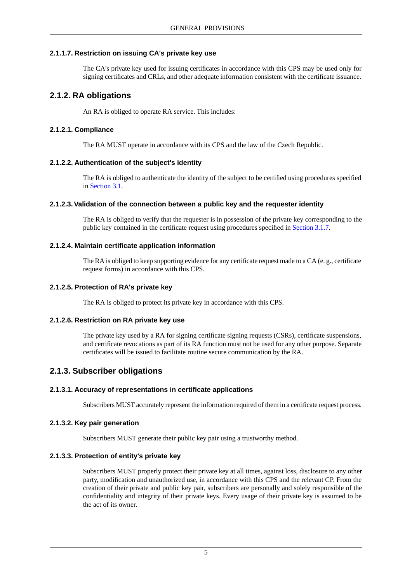#### **2.1.1.7. Restriction on issuing CA's private key use**

<span id="page-11-1"></span><span id="page-11-0"></span>The CA's private key used for issuing certificates in accordance with this CPS may be used only for signing certificates and CRLs, and other adequate information consistent with the certificate issuance.

## **2.1.2. RA obligations**

<span id="page-11-2"></span>An RA is obliged to operate RA service. This includes:

#### **2.1.2.1. Compliance**

<span id="page-11-3"></span>The RA MUST operate in accordance with its CPS and the law of the Czech Republic.

#### **2.1.2.2. Authentication of the subject's identity**

<span id="page-11-4"></span>The RA is obliged to authenticate the identity of the subject to be certified using procedures specified in [Section 3.1](#page-16-1).

#### **2.1.2.3.Validation of the connection between a public key and the requester identity**

<span id="page-11-5"></span>The RA is obliged to verify that the requester is in possession of the private key corresponding to the public key contained in the certificate request using procedures specified in [Section 3.1.7](#page-18-5).

#### **2.1.2.4. Maintain certificate application information**

<span id="page-11-7"></span><span id="page-11-6"></span>The RA is obliged to keep supporting evidence for any certificate request made to a CA (e. g., certificate request forms) in accordance with this CPS.

#### **2.1.2.5. Protection of RA's private key**

The RA is obliged to protect its private key in accordance with this CPS.

#### **2.1.2.6. Restriction on RA private key use**

<span id="page-11-9"></span><span id="page-11-8"></span>The private key used by a RA for signing certificate signing requests (CSRs), certificate suspensions, and certificate revocations as part of its RA function must not be used for any other purpose. Separate certificates will be issued to facilitate routine secure communication by the RA.

## <span id="page-11-10"></span>**2.1.3. Subscriber obligations**

#### **2.1.3.1. Accuracy of representations in certificate applications**

<span id="page-11-11"></span>Subscribers MUST accurately represent the information required of them in a certificate request process.

#### **2.1.3.2. Key pair generation**

Subscribers MUST generate their public key pair using a trustworthy method.

#### **2.1.3.3. Protection of entity's private key**

Subscribers MUST properly protect their private key at all times, against loss, disclosure to any other party, modification and unauthorized use, in accordance with this CPS and the relevant CP. From the creation of their private and public key pair, subscribers are personally and solely responsible of the confidentiality and integrity of their private keys. Every usage of their private key is assumed to be the act of its owner.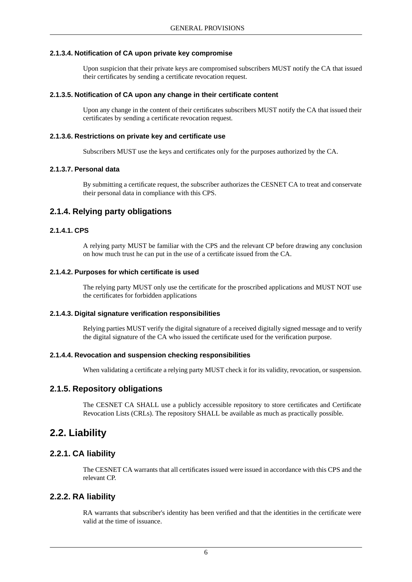#### **2.1.3.4. Notification of CA upon private key compromise**

<span id="page-12-1"></span><span id="page-12-0"></span>Upon suspicion that their private keys are compromised subscribers MUST notify the CA that issued their certificates by sending a certificate revocation request.

#### **2.1.3.5. Notification of CA upon any change in their certificate content**

<span id="page-12-2"></span>Upon any change in the content of their certificates subscribers MUST notify the CA that issued their certificates by sending a certificate revocation request.

#### **2.1.3.6. Restrictions on private key and certificate use**

<span id="page-12-3"></span>Subscribers MUST use the keys and certificates only for the purposes authorized by the CA.

#### **2.1.3.7. Personal data**

<span id="page-12-5"></span><span id="page-12-4"></span>By submitting a certificate request, the subscriber authorizes the CESNET CA to treat and conservate their personal data in compliance with this CPS.

### **2.1.4. Relying party obligations**

#### **2.1.4.1. CPS**

<span id="page-12-6"></span>A relying party MUST be familiar with the CPS and the relevant CP before drawing any conclusion on how much trust he can put in the use of a certificate issued from the CA.

#### **2.1.4.2. Purposes for which certificate is used**

<span id="page-12-7"></span>The relying party MUST only use the certificate for the proscribed applications and MUST NOT use the certificates for forbidden applications

#### **2.1.4.3. Digital signature verification responsibilities**

<span id="page-12-9"></span><span id="page-12-8"></span>Relying parties MUST verify the digital signature of a received digitally signed message and to verify the digital signature of the CA who issued the certificate used for the verification purpose.

#### **2.1.4.4. Revocation and suspension checking responsibilities**

<span id="page-12-10"></span>When validating a certificate a relying party MUST check it for its validity, revocation, or suspension.

#### **2.1.5. Repository obligations**

<span id="page-12-11"></span>The CESNET CA SHALL use a publicly accessible repository to store certificates and Certificate Revocation Lists (CRLs). The repository SHALL be available as much as practically possible.

## <span id="page-12-12"></span>**2.2. Liability**

#### **2.2.1. CA liability**

The CESNET CA warrants that all certificates issued were issued in accordance with this CPS and the relevant CP.

#### **2.2.2. RA liability**

RA warrants that subscriber's identity has been verified and that the identities in the certificate were valid at the time of issuance.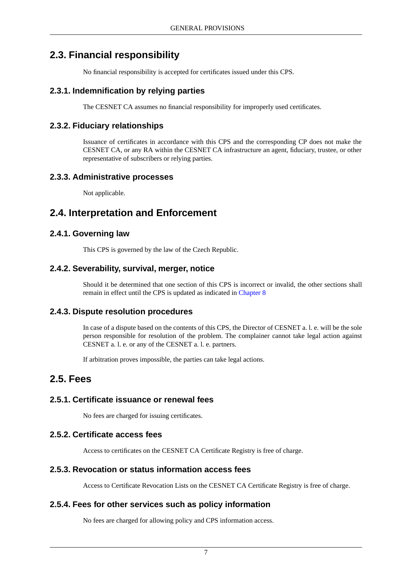## **2.3. Financial responsibility**

<span id="page-13-1"></span><span id="page-13-0"></span>No financial responsibility is accepted for certificates issued under this CPS.

## **2.3.1. Indemnification by relying parties**

<span id="page-13-2"></span>The CESNET CA assumes no financial responsibility for improperly used certificates.

## **2.3.2. Fiduciary relationships**

<span id="page-13-3"></span>Issuance of certificates in accordance with this CPS and the corresponding CP does not make the CESNET CA, or any RA within the CESNET CA infrastructure an agent, fiduciary, trustee, or other representative of subscribers or relying parties.

## **2.3.3. Administrative processes**

<span id="page-13-5"></span><span id="page-13-4"></span>Not applicable.

## **2.4. Interpretation and Enforcement**

## **2.4.1. Governing law**

<span id="page-13-6"></span>This CPS is governed by the law of the Czech Republic.

## **2.4.2. Severability, survival, merger, notice**

<span id="page-13-7"></span>Should it be determined that one section of this CPS is incorrect or invalid, the other sections shall remain in effect until the CPS is updated as indicated in [Chapter 8](#page-37-0)

## **2.4.3. Dispute resolution procedures**

<span id="page-13-8"></span>In case of a dispute based on the contents of this CPS, the Director of CESNET a. l. e. will be the sole person responsible for resolution of the problem. The complainer cannot take legal action against CESNET a. l. e. or any of the CESNET a. l. e. partners.

<span id="page-13-10"></span><span id="page-13-9"></span>If arbitration proves impossible, the parties can take legal actions.

## **2.5. Fees**

## **2.5.1. Certificate issuance or renewal fees**

<span id="page-13-11"></span>No fees are charged for issuing certificates.

## **2.5.2. Certificate access fees**

<span id="page-13-12"></span>Access to certificates on the CESNET CA Certificate Registry is free of charge.

## **2.5.3. Revocation or status information access fees**

Access to Certificate Revocation Lists on the CESNET CA Certificate Registry is free of charge.

## **2.5.4. Fees for other services such as policy information**

No fees are charged for allowing policy and CPS information access.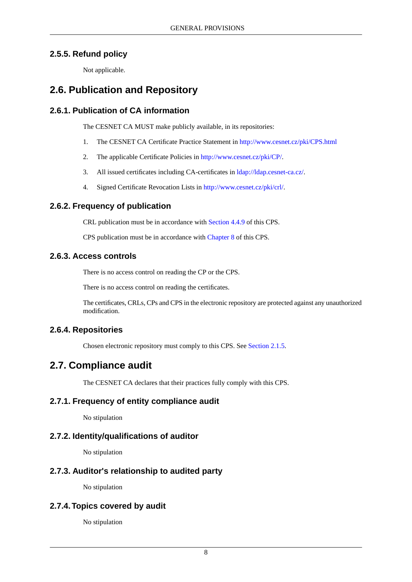## **2.5.5. Refund policy**

<span id="page-14-2"></span><span id="page-14-1"></span><span id="page-14-0"></span>Not applicable.

## **2.6. Publication and Repository**

## **2.6.1. Publication of CA information**

The CESNET CA MUST make publicly available, in its repositories:

- 1. The CESNET CA Certificate Practice Statement in<http://www.cesnet.cz/pki/CPS.html>
- 2. The applicable Certificate Policies in<http://www.cesnet.cz/pki/CP/>.
- 3. All issued certificates including CA-certificates in [ldap://ldap.cesnet-ca.cz/.](ldap://ldap.cesnet-ca.cz/)
- <span id="page-14-3"></span>4. Signed Certificate Revocation Lists in [http://www.cesnet.cz/pki/crl/.](http://www.cesnet.cz/pki/crl/)

## **2.6.2. Frequency of publication**

<span id="page-14-4"></span>CRL publication must be in accordance with [Section 4.4.9](#page-21-6) of this CPS.

CPS publication must be in accordance with [Chapter 8](#page-37-0) of this CPS.

## **2.6.3. Access controls**

There is no access control on reading the CP or the CPS.

<span id="page-14-5"></span>There is no access control on reading the certificates.

<span id="page-14-6"></span>The certificates, CRLs, CPs and CPS in the electronic repository are protected against any unauthorized modification.

## **2.6.4. Repositories**

<span id="page-14-7"></span>Chosen electronic repository must comply to this CPS. See [Section 2.1.5](#page-12-9).

## **2.7. Compliance audit**

<span id="page-14-8"></span>The CESNET CA declares that their practices fully comply with this CPS.

## **2.7.1. Frequency of entity compliance audit**

<span id="page-14-9"></span>No stipulation

## **2.7.2. Identity/qualifications of auditor**

<span id="page-14-10"></span>No stipulation

## **2.7.3. Auditor's relationship to audited party**

No stipulation

## **2.7.4.Topics covered by audit**

No stipulation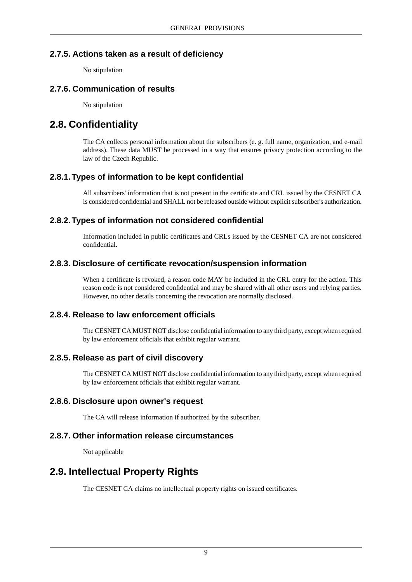## **2.7.5. Actions taken as a result of deficiency**

<span id="page-15-1"></span><span id="page-15-0"></span>No stipulation

## **2.7.6. Communication of results**

<span id="page-15-2"></span>No stipulation

## **2.8. Confidentiality**

<span id="page-15-3"></span>The CA collects personal information about the subscribers (e. g. full name, organization, and e-mail address). These data MUST be processed in a way that ensures privacy protection according to the law of the Czech Republic.

## **2.8.1.Types of information to be kept confidential**

<span id="page-15-4"></span>All subscribers' information that is not present in the certificate and CRL issued by the CESNET CA is considered confidential and SHALL not be released outside without explicit subscriber's authorization.

## **2.8.2.Types of information not considered confidential**

<span id="page-15-5"></span>Information included in public certificates and CRLs issued by the CESNET CA are not considered confidential.

## **2.8.3. Disclosure of certificate revocation/suspension information**

<span id="page-15-6"></span>When a certificate is revoked, a reason code MAY be included in the CRL entry for the action. This reason code is not considered confidential and may be shared with all other users and relying parties. However, no other details concerning the revocation are normally disclosed.

## **2.8.4. Release to law enforcement officials**

<span id="page-15-8"></span><span id="page-15-7"></span>The CESNET CA MUST NOT disclose confidential information to any third party, except when required by law enforcement officials that exhibit regular warrant.

## **2.8.5. Release as part of civil discovery**

<span id="page-15-9"></span>The CESNET CA MUST NOT disclose confidential information to any third party, except when required by law enforcement officials that exhibit regular warrant.

## **2.8.6. Disclosure upon owner's request**

<span id="page-15-10"></span>The CA will release information if authorized by the subscriber.

## **2.8.7. Other information release circumstances**

Not applicable

## **2.9. Intellectual Property Rights**

The CESNET CA claims no intellectual property rights on issued certificates.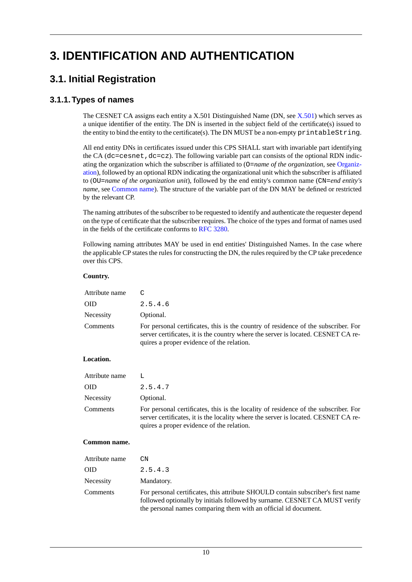# <span id="page-16-1"></span><span id="page-16-0"></span>**3. IDENTIFICATION AND AUTHENTICATION**

## <span id="page-16-2"></span>**3.1. Initial Registration**

## **3.1.1.Types of names**

The CESNET CA assigns each entity a X.501 Distinguished Name (DN, see [X.501\)](#page-39-3) which serves as a unique identifier of the entity. The DN is inserted in the subject field of the certificate(s) issued to the entity to bind the entity to the certificate(s). The DN MUST be a non-empty printableString.

All end entity DNs in certificates issued under this CPS SHALL start with invariable part identifying the CA (dc=cesnet, dc=cz). The following variable part can consists of the optional RDN indicating the organization which the subscriber is affiliated to (O=*name of the organization*, see Organization), followed by an optional RDN indicating the organizational unit which the subscriber is affiliated to (OU=*name of the organization unit*), followed by the end entity's common name (CN=*end entity's name*, see Common name). The structure of the variable part of the DN MAY be defined or restricted by the relevant CP.

The naming attributes of the subscriber to be requested to identify and authenticate the requester depend on the type of certificate that the subscriber requires. The choice of the types and format of names used in the fields of the certificate conforms to [RFC 3280.](#page-39-4)

Following naming attributes MAY be used in end entities' Distinguished Names. In the case where the applicable CP states the rules for constructing the DN, the rules required by the CP take precedence over this CPS.

#### **Country.**

| Attribute name | $\mathcal{C}$                                                                                                                                                                                                        |
|----------------|----------------------------------------------------------------------------------------------------------------------------------------------------------------------------------------------------------------------|
| <b>OID</b>     | 2.5.4.6                                                                                                                                                                                                              |
| Necessity      | Optional.                                                                                                                                                                                                            |
| Comments       | For personal certificates, this is the country of residence of the subscriber. For<br>server certificates, it is the country where the server is located. CESNET CA re-<br>quires a proper evidence of the relation. |

#### **Location.**

| Attribute name |                                                                                                                                                                                                                        |
|----------------|------------------------------------------------------------------------------------------------------------------------------------------------------------------------------------------------------------------------|
| 0ID.           | 2.5.4.7                                                                                                                                                                                                                |
| Necessity      | Optional.                                                                                                                                                                                                              |
| Comments       | For personal certificates, this is the locality of residence of the subscriber. For<br>server certificates, it is the locality where the server is located. CESNET CA re-<br>quires a proper evidence of the relation. |

#### **Common name.**

| Attribute name | CΝ                                                                                                                                                                                                                                |
|----------------|-----------------------------------------------------------------------------------------------------------------------------------------------------------------------------------------------------------------------------------|
| OID            | 2.5.4.3                                                                                                                                                                                                                           |
| Necessity      | Mandatory.                                                                                                                                                                                                                        |
| Comments       | For personal certificates, this attribute SHOULD contain subscriber's first name<br>followed optionally by initials followed by surname. CESNET CA MUST verify<br>the personal names comparing them with an official id document. |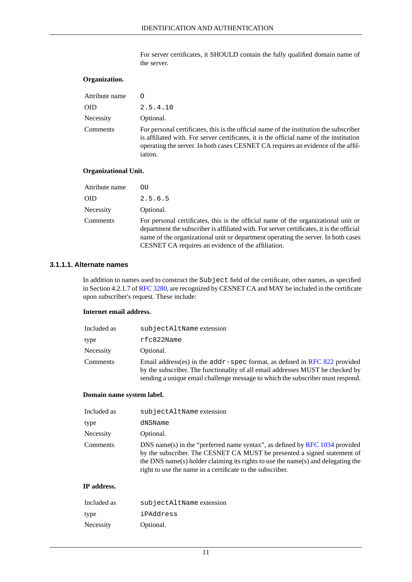For server certificates, it SHOULD contain the fully qualified domain name of the server.

#### **Organization.**

| Attribute name | Ω                                                                                                                                                                                                                                                                                       |
|----------------|-----------------------------------------------------------------------------------------------------------------------------------------------------------------------------------------------------------------------------------------------------------------------------------------|
| OID            | 2.5.4.10                                                                                                                                                                                                                                                                                |
| Necessity      | Optional.                                                                                                                                                                                                                                                                               |
| Comments       | For personal certificates, this is the official name of the institution the subscriber<br>is affiliated with. For server certificates, it is the official name of the institution<br>operating the server. In both cases CESNET CA requires an evidence of the affil-<br><i>iation.</i> |

#### **Organizational Unit.**

| Attribute name | OU                                                                                                                                                                                                                                                                                                                         |
|----------------|----------------------------------------------------------------------------------------------------------------------------------------------------------------------------------------------------------------------------------------------------------------------------------------------------------------------------|
| <b>OID</b>     | 2.5.6.5                                                                                                                                                                                                                                                                                                                    |
| Necessity      | Optional.                                                                                                                                                                                                                                                                                                                  |
| Comments       | For personal certificates, this is the official name of the organizational unit or<br>department the subscriber is affiliated with. For server certificates, it is the official<br>name of the organizational unit or department operating the server. In both cases<br>CESNET CA requires an evidence of the affiliation. |

#### <span id="page-17-0"></span>**3.1.1.1. Alternate names**

In addition to names used to construct the Subject field of the certificate, other names, as specified in Section 4.2.1.7 of [RFC 3280](#page-39-4), are recognized by CESNET CA and MAY be included in the certificate upon subscriber's request. These include:

#### **Internet email address.**

| Included as | subjectAltName extension                                                                                                                                                                                                                         |
|-------------|--------------------------------------------------------------------------------------------------------------------------------------------------------------------------------------------------------------------------------------------------|
| type        | rfc822Name                                                                                                                                                                                                                                       |
| Necessity   | Optional.                                                                                                                                                                                                                                        |
| Comments    | Email address(es) in the $addr$ -spec format, as defined in RFC 822 provided<br>by the subscriber. The functionality of all email addresses MUST be checked by<br>sending a unique email challenge message to which the subscriber must respond. |

#### **Domain name system label.**

| Included as | subjectAltName extension                                                                                                                                                                                                                                                                                 |
|-------------|----------------------------------------------------------------------------------------------------------------------------------------------------------------------------------------------------------------------------------------------------------------------------------------------------------|
| type        | dNSName                                                                                                                                                                                                                                                                                                  |
| Necessity   | Optional.                                                                                                                                                                                                                                                                                                |
| Comments    | DNS name(s) in the "preferred name syntax", as defined by RFC 1034 provided<br>by the subscriber. The CESNET CA MUST be presented a signed statement of<br>the DNS name(s) holder claiming its rights to use the name(s) and delegating the<br>right to use the name in a certificate to the subscriber. |

#### **IP address.**

| Included as | subjectAltName extension |
|-------------|--------------------------|
| type        | iPAddress                |
| Necessity   | Optional.                |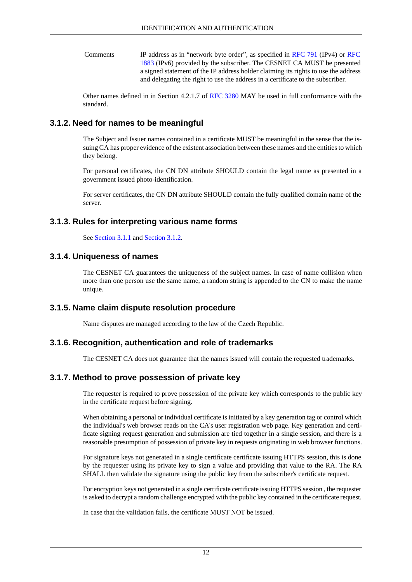IP address as in "network byte order", as specified in [RFC 791](#page-39-7) (IPv4) or [RFC](#page-39-8) [1883](#page-39-8) (IPv6) provided by the subscriber. The CESNET CA MUST be presented Comments a signed statement of the IP address holder claiming its rights to use the address and delegating the right to use the address in a certificate to the subscriber.

<span id="page-18-0"></span>Other names defined in in Section 4.2.1.7 of [RFC 3280](#page-39-4) MAY be used in full conformance with the standard.

## **3.1.2. Need for names to be meaningful**

The Subject and Issuer names contained in a certificate MUST be meaningful in the sense that the issuing CA has proper evidence of the existent association between these names and the entities to which they belong.

For personal certificates, the CN DN attribute SHOULD contain the legal name as presented in a government issued photo-identification.

<span id="page-18-1"></span>For server certificates, the CN DN attribute SHOULD contain the fully qualified domain name of the server.

## **3.1.3. Rules for interpreting various name forms**

<span id="page-18-2"></span>See [Section 3.1.1](#page-16-2) and [Section 3.1.2](#page-18-0).

## **3.1.4. Uniqueness of names**

<span id="page-18-3"></span>The CESNET CA guarantees the uniqueness of the subject names. In case of name collision when more than one person use the same name, a random string is appended to the CN to make the name unique.

## **3.1.5. Name claim dispute resolution procedure**

<span id="page-18-5"></span><span id="page-18-4"></span>Name disputes are managed according to the law of the Czech Republic.

## **3.1.6. Recognition, authentication and role of trademarks**

The CESNET CA does not guarantee that the names issued will contain the requested trademarks.

## **3.1.7. Method to prove possession of private key**

The requester is required to prove possession of the private key which corresponds to the public key in the certificate request before signing.

When obtaining a personal or individual certificate is initiated by a key generation tag or control which the individual's web browser reads on the CA's user registration web page. Key generation and certificate signing request generation and submission are tied together in a single session, and there is a reasonable presumption of possession of private key in requests originating in web browser functions.

For signature keys not generated in a single certificate certificate issuing HTTPS session, this is done by the requester using its private key to sign a value and providing that value to the RA. The RA SHALL then validate the signature using the public key from the subscriber's certificate request.

For encryption keys not generated in a single certificate certificate issuing HTTPS session , the requester is asked to decrypt a random challenge encrypted with the public key contained in the certificate request.

In case that the validation fails, the certificate MUST NOT be issued.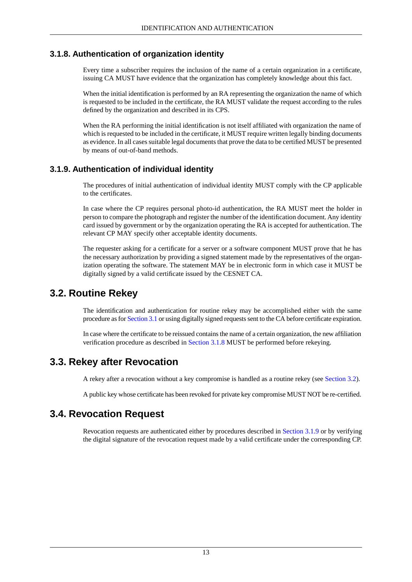## **3.1.8. Authentication of organization identity**

<span id="page-19-0"></span>Every time a subscriber requires the inclusion of the name of a certain organization in a certificate, issuing CA MUST have evidence that the organization has completely knowledge about this fact.

When the initial identification is performed by an RA representing the organization the name of which is requested to be included in the certificate, the RA MUST validate the request according to the rules defined by the organization and described in its CPS.

<span id="page-19-1"></span>When the RA performing the initial identification is not itself affiliated with organization the name of which is requested to be included in the certificate, it MUST require written legally binding documents as evidence. In all cases suitable legal documents that prove the data to be certified MUST be presented by means of out-of-band methods.

## **3.1.9. Authentication of individual identity**

The procedures of initial authentication of individual identity MUST comply with the CP applicable to the certificates.

In case where the CP requires personal photo-id authentication, the RA MUST meet the holder in person to compare the photograph and register the number of the identification document. Any identity card issued by government or by the organization operating the RA is accepted for authentication. The relevant CP MAY specify other acceptable identity documents.

<span id="page-19-2"></span>The requester asking for a certificate for a server or a software component MUST prove that he has the necessary authorization by providing a signed statement made by the representatives of the organization operating the software. The statement MAY be in electronic form in which case it MUST be digitally signed by a valid certificate issued by the CESNET CA.

## **3.2. Routine Rekey**

<span id="page-19-3"></span>The identification and authentication for routine rekey may be accomplished either with the same procedure as for [Section 3.1](#page-16-1) or using digitally signed requests sent to the CA before certificate expiration.

In case where the certificate to be reissued contains the name of a certain organization, the new affiliation verification procedure as described in [Section 3.1.8](#page-19-0) MUST be performed before rekeying.

## **3.3. Rekey after Revocation**

<span id="page-19-4"></span>A rekey after a revocation without a key compromise is handled as a routine rekey (see [Section 3.2\)](#page-19-2).

A public key whose certificate has been revoked for private key compromise MUST NOT be re-certified.

## **3.4. Revocation Request**

Revocation requests are authenticated either by procedures described in [Section 3.1.9](#page-19-1) or by verifying the digital signature of the revocation request made by a valid certificate under the corresponding CP.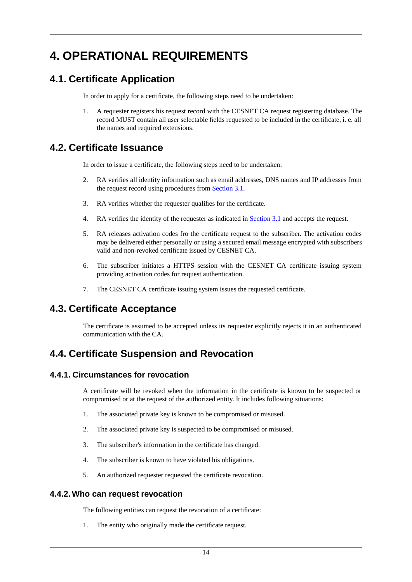# <span id="page-20-1"></span><span id="page-20-0"></span>**4. OPERATIONAL REQUIREMENTS**

## **4.1. Certificate Application**

In order to apply for a certificate, the following steps need to be undertaken:

<span id="page-20-2"></span>1. A requester registers his request record with the CESNET CA request registering database. The record MUST contain all user selectable fields requested to be included in the certificate, i. e. all the names and required extensions.

## **4.2. Certificate Issuance**

In order to issue a certificate, the following steps need to be undertaken:

- 2. RA verifies all identity information such as email addresses, DNS names and IP addresses from the request record using procedures from [Section 3.1.](#page-16-1)
- 3. RA verifies whether the requester qualifies for the certificate.
- 4. RA verifies the identity of the requester as indicated in [Section 3.1](#page-16-1) and accepts the request.
- 5. RA releases activation codes fro the certificate request to the subscriber. The activation codes may be delivered either personally or using a secured email message encrypted with subscribers valid and non-revoked certificate issued by CESNET CA.
- <span id="page-20-3"></span>6. The subscriber initiates a HTTPS session with the CESNET CA certificate issuing system providing activation codes for request authentication.
- 7. The CESNET CA certificate issuing system issues the requested certificate.

## **4.3. Certificate Acceptance**

<span id="page-20-5"></span><span id="page-20-4"></span>The certificate is assumed to be accepted unless its requester explicitly rejects it in an authenticated communication with the CA.

## **4.4. Certificate Suspension and Revocation**

## **4.4.1. Circumstances for revocation**

A certificate will be revoked when the information in the certificate is known to be suspected or compromised or at the request of the authorized entity. It includes following situations:

- 1. The associated private key is known to be compromised or misused.
- 2. The associated private key is suspected to be compromised or misused.
- <span id="page-20-6"></span>3. The subscriber's information in the certificate has changed.
- 4. The subscriber is known to have violated his obligations.
- 5. An authorized requester requested the certificate revocation.

## **4.4.2. Who can request revocation**

The following entities can request the revocation of a certificate:

1. The entity who originally made the certificate request.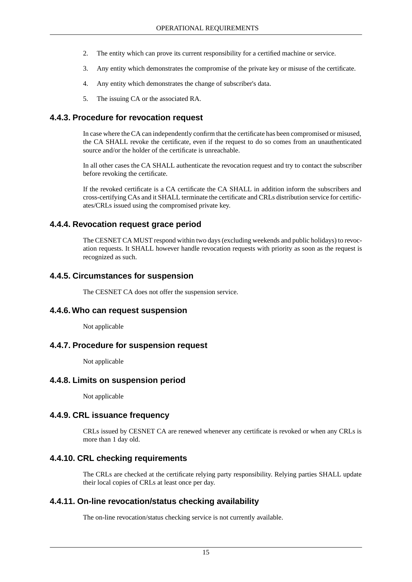- 2. The entity which can prove its current responsibility for a certified machine or service.
- 3. Any entity which demonstrates the compromise of the private key or misuse of the certificate.
- 4. Any entity which demonstrates the change of subscriber's data.
- <span id="page-21-0"></span>5. The issuing CA or the associated RA.

## **4.4.3. Procedure for revocation request**

In case where the CA can independently confirm that the certificate has been compromised or misused, the CA SHALL revoke the certificate, even if the request to do so comes from an unauthenticated source and/or the holder of the certificate is unreachable.

In all other cases the CA SHALL authenticate the revocation request and try to contact the subscriber before revoking the certificate.

<span id="page-21-1"></span>If the revoked certificate is a CA certificate the CA SHALL in addition inform the subscribers and cross-certifying CAs and it SHALL terminate the certificate and CRLs distribution service for certificates/CRLs issued using the compromised private key.

## **4.4.4. Revocation request grace period**

<span id="page-21-2"></span>The CESNET CA MUST respond within two days (excluding weekends and public holidays) to revocation requests. It SHALL however handle revocation requests with priority as soon as the request is recognized as such.

### **4.4.5. Circumstances for suspension**

<span id="page-21-4"></span><span id="page-21-3"></span>The CESNET CA does not offer the suspension service.

## **4.4.6. Who can request suspension**

<span id="page-21-5"></span>Not applicable

#### **4.4.7. Procedure for suspension request**

<span id="page-21-6"></span>Not applicable

#### **4.4.8. Limits on suspension period**

<span id="page-21-7"></span>Not applicable

#### **4.4.9. CRL issuance frequency**

<span id="page-21-8"></span>CRLs issued by CESNET CA are renewed whenever any certificate is revoked or when any CRLs is more than 1 day old.

#### **4.4.10. CRL checking requirements**

The CRLs are checked at the certificate relying party responsibility. Relying parties SHALL update their local copies of CRLs at least once per day.

## **4.4.11. On-line revocation/status checking availability**

The on-line revocation/status checking service is not currently available.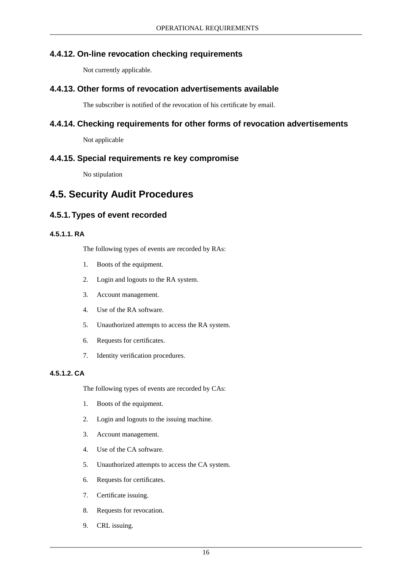## **4.4.12. On-line revocation checking requirements**

<span id="page-22-1"></span><span id="page-22-0"></span>Not currently applicable.

### **4.4.13. Other forms of revocation advertisements available**

<span id="page-22-2"></span>The subscriber is notified of the revocation of his certificate by email.

### **4.4.14. Checking requirements for other forms of revocation advertisements**

<span id="page-22-3"></span>Not applicable

### **4.4.15. Special requirements re key compromise**

<span id="page-22-5"></span><span id="page-22-4"></span>No stipulation

## **4.5. Security Audit Procedures**

## <span id="page-22-6"></span>**4.5.1.Types of event recorded**

### **4.5.1.1. RA**

The following types of events are recorded by RAs:

- 1. Boots of the equipment.
- 2. Login and logouts to the RA system.
- 3. Account management.
- 4. Use of the RA software.
- 5. Unauthorized attempts to access the RA system.
- <span id="page-22-7"></span>6. Requests for certificates.
- 7. Identity verification procedures.

#### **4.5.1.2. CA**

The following types of events are recorded by CAs:

- 1. Boots of the equipment.
- 2. Login and logouts to the issuing machine.
- 3. Account management.
- 4. Use of the CA software.
- 5. Unauthorized attempts to access the CA system.
- 6. Requests for certificates.
- 7. Certificate issuing.
- 8. Requests for revocation.
- 9. CRL issuing.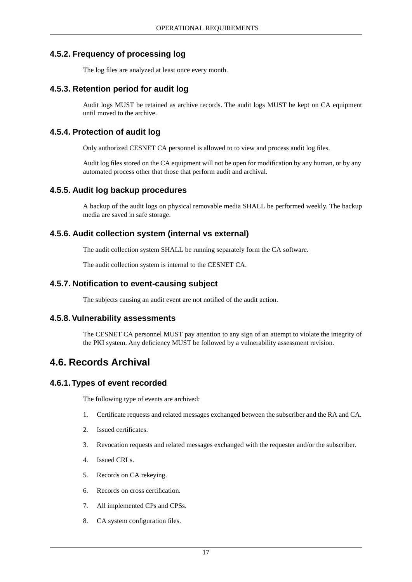## **4.5.2. Frequency of processing log**

<span id="page-23-1"></span><span id="page-23-0"></span>The log files are analyzed at least once every month.

## **4.5.3. Retention period for audit log**

<span id="page-23-2"></span>Audit logs MUST be retained as archive records. The audit logs MUST be kept on CA equipment until moved to the archive.

## **4.5.4. Protection of audit log**

Only authorized CESNET CA personnel is allowed to to view and process audit log files.

<span id="page-23-3"></span>Audit log files stored on the CA equipment will not be open for modification by any human, or by any automated process other that those that perform audit and archival.

## **4.5.5. Audit log backup procedures**

<span id="page-23-4"></span>A backup of the audit logs on physical removable media SHALL be performed weekly. The backup media are saved in safe storage.

## **4.5.6. Audit collection system (internal vs external)**

<span id="page-23-5"></span>The audit collection system SHALL be running separately form the CA software.

<span id="page-23-6"></span>The audit collection system is internal to the CESNET CA.

### **4.5.7. Notification to event-causing subject**

<span id="page-23-7"></span>The subjects causing an audit event are not notified of the audit action.

#### **4.5.8.Vulnerability assessments**

<span id="page-23-8"></span>The CESNET CA personnel MUST pay attention to any sign of an attempt to violate the integrity of the PKI system. Any deficiency MUST be followed by a vulnerability assessment revision.

## **4.6. Records Archival**

## **4.6.1.Types of event recorded**

The following type of events are archived:

- 1. Certificate requests and related messages exchanged between the subscriber and the RA and CA.
- 2. Issued certificates.
- 3. Revocation requests and related messages exchanged with the requester and/or the subscriber.
- 4. Issued CRLs.
- 5. Records on CA rekeying.
- 6. Records on cross certification.
- 7. All implemented CPs and CPSs.
- 8. CA system configuration files.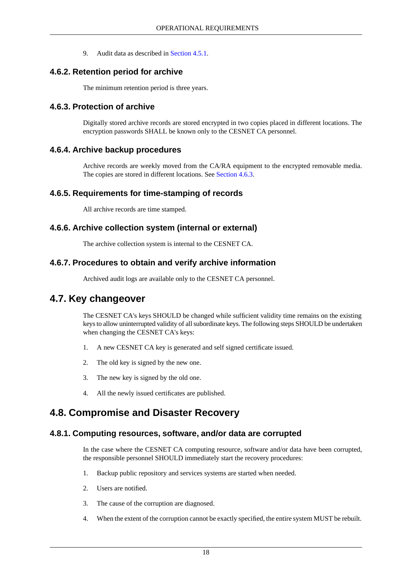<span id="page-24-0"></span>9. Audit data as described in [Section 4.5.1.](#page-22-5)

## **4.6.2. Retention period for archive**

<span id="page-24-1"></span>The minimum retention period is three years.

### **4.6.3. Protection of archive**

<span id="page-24-2"></span>Digitally stored archive records are stored encrypted in two copies placed in different locations. The encryption passwords SHALL be known only to the CESNET CA personnel.

### **4.6.4. Archive backup procedures**

<span id="page-24-3"></span>Archive records are weekly moved from the CA/RA equipment to the encrypted removable media. The copies are stored in different locations. See [Section 4.6.3](#page-24-1).

### **4.6.5. Requirements for time-stamping of records**

<span id="page-24-4"></span>All archive records are time stamped.

## **4.6.6. Archive collection system (internal or external)**

<span id="page-24-6"></span><span id="page-24-5"></span>The archive collection system is internal to the CESNET CA.

### **4.6.7. Procedures to obtain and verify archive information**

Archived audit logs are available only to the CESNET CA personnel.

## **4.7. Key changeover**

The CESNET CA's keys SHOULD be changed while sufficient validity time remains on the existing keys to allow uninterrupted validity of all subordinate keys. The following steps SHOULD be undertaken when changing the CESNET CA's keys:

- 1. A new CESNET CA key is generated and self signed certificate issued.
- <span id="page-24-7"></span>2. The old key is signed by the new one.
- <span id="page-24-8"></span>3. The new key is signed by the old one.
- 4. All the newly issued certificates are published.

## **4.8. Compromise and Disaster Recovery**

#### **4.8.1. Computing resources, software, and/or data are corrupted**

In the case where the CESNET CA computing resource, software and/or data have been corrupted, the responsible personnel SHOULD immediately start the recovery procedures:

- 1. Backup public repository and services systems are started when needed.
- 2. Users are notified.
- 3. The cause of the corruption are diagnosed.
- 4. When the extent of the corruption cannot be exactly specified, the entire system MUST be rebuilt.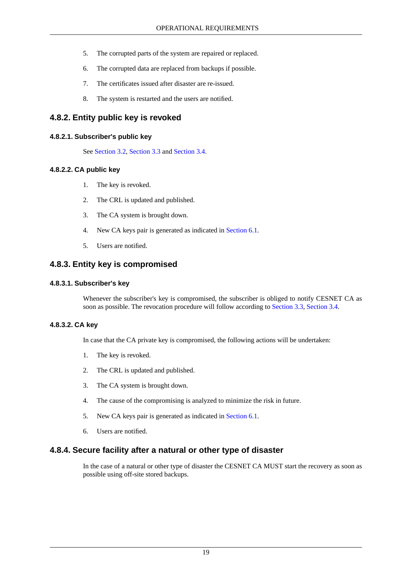- 5. The corrupted parts of the system are repaired or replaced.
- 6. The corrupted data are replaced from backups if possible.
- 7. The certificates issued after disaster are re-issued.
- <span id="page-25-1"></span><span id="page-25-0"></span>8. The system is restarted and the users are notified.

## **4.8.2. Entity public key is revoked**

#### **4.8.2.1. Subscriber's public key**

<span id="page-25-2"></span>See [Section 3.2,](#page-19-2) [Section 3.3](#page-19-3) and [Section 3.4](#page-19-4).

#### **4.8.2.2. CA public key**

- 1. The key is revoked.
- 2. The CRL is updated and published.
- 3. The CA system is brought down.
- <span id="page-25-3"></span>4. New CA keys pair is generated as indicated in [Section 6.1.](#page-30-1)
- <span id="page-25-4"></span>5. Users are notified.

#### **4.8.3. Entity key is compromised**

#### **4.8.3.1. Subscriber's key**

<span id="page-25-5"></span>Whenever the subscriber's key is compromised, the subscriber is obliged to notify CESNET CA as soon as possible. The revocation procedure will follow according to [Section 3.3](#page-19-3), [Section 3.4](#page-19-4).

#### **4.8.3.2. CA key**

In case that the CA private key is compromised, the following actions will be undertaken:

- 1. The key is revoked.
- 2. The CRL is updated and published.
- 3. The CA system is brought down.
- <span id="page-25-6"></span>4. The cause of the compromising is analyzed to minimize the risk in future.
- 5. New CA keys pair is generated as indicated in [Section 6.1.](#page-30-1)
- 6. Users are notified.

#### **4.8.4. Secure facility after a natural or other type of disaster**

In the case of a natural or other type of disaster the CESNET CA MUST start the recovery as soon as possible using off-site stored backups.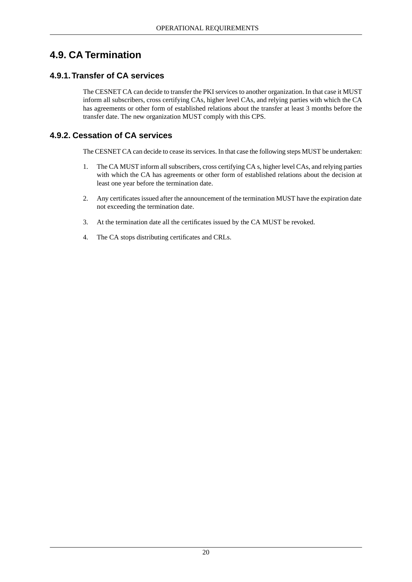## <span id="page-26-1"></span><span id="page-26-0"></span>**4.9. CA Termination**

## **4.9.1.Transfer of CA services**

<span id="page-26-2"></span>The CESNET CA can decide to transfer the PKI services to another organization. In that case it MUST inform all subscribers, cross certifying CAs, higher level CAs, and relying parties with which the CA has agreements or other form of established relations about the transfer at least 3 months before the transfer date. The new organization MUST comply with this CPS.

## **4.9.2. Cessation of CA services**

The CESNET CA can decide to cease its services. In that case the following steps MUST be undertaken:

- 1. The CA MUST inform all subscribers, cross certifying CA s, higher level CAs, and relying parties with which the CA has agreements or other form of established relations about the decision at least one year before the termination date.
- 2. Any certificates issued after the announcement of the termination MUST have the expiration date not exceeding the termination date.
- 3. At the termination date all the certificates issued by the CA MUST be revoked.
- 4. The CA stops distributing certificates and CRLs.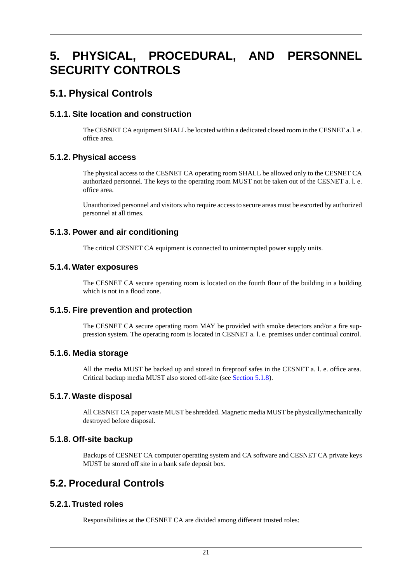# <span id="page-27-0"></span>**5. PHYSICAL, PROCEDURAL, AND PERSONNEL SECURITY CONTROLS**

## <span id="page-27-2"></span><span id="page-27-1"></span>**5.1. Physical Controls**

## **5.1.1. Site location and construction**

<span id="page-27-3"></span>The CESNET CA equipment SHALL be located within a dedicated closed room in the CESNET a. l. e. office area.

## **5.1.2. Physical access**

The physical access to the CESNET CA operating room SHALL be allowed only to the CESNET CA authorized personnel. The keys to the operating room MUST not be taken out of the CESNET a. l. e. office area.

<span id="page-27-4"></span>Unauthorized personnel and visitors who require access to secure areas must be escorted by authorized personnel at all times.

## **5.1.3. Power and air conditioning**

<span id="page-27-5"></span>The critical CESNET CA equipment is connected to uninterrupted power supply units.

## **5.1.4. Water exposures**

<span id="page-27-6"></span>The CESNET CA secure operating room is located on the fourth flour of the building in a building which is not in a flood zone.

## **5.1.5. Fire prevention and protection**

<span id="page-27-7"></span>The CESNET CA secure operating room MAY be provided with smoke detectors and/or a fire suppression system. The operating room is located in CESNET a. l. e. premises under continual control.

## **5.1.6. Media storage**

<span id="page-27-9"></span><span id="page-27-8"></span>All the media MUST be backed up and stored in fireproof safes in the CESNET a. l. e. office area. Critical backup media MUST also stored off-site (see [Section 5.1.8\)](#page-27-9).

## **5.1.7. Waste disposal**

<span id="page-27-10"></span>All CESNET CA paper waste MUST be shredded. Magnetic media MUST be physically/mechanically destroyed before disposal.

## **5.1.8. Off-site backup**

<span id="page-27-11"></span>Backups of CESNET CA computer operating system and CA software and CESNET CA private keys MUST be stored off site in a bank safe deposit box.

## **5.2. Procedural Controls**

## **5.2.1.Trusted roles**

Responsibilities at the CESNET CA are divided among different trusted roles: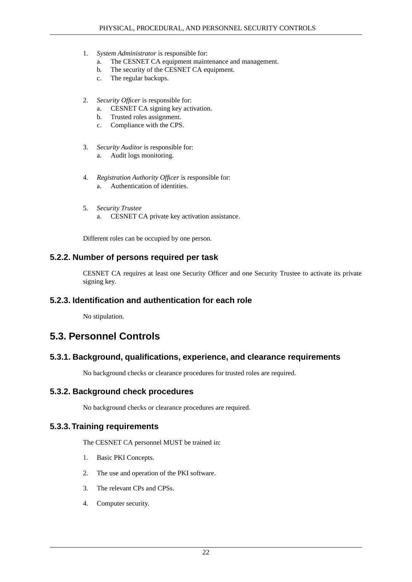- 1. *System Administrator* is responsible for:
	- a. The CESNET CA equipment maintenance and management.
	- b. The security of the CESNET CA equipment.
	- c. The regular backups.
- 2. *Security Officer* is responsible for:
	- a. CESNET CA signing key activation.
	- b. Trusted roles assignment.
	- c. Compliance with the CPS.
- 3. *Security Auditor* is responsible for: a. Audit logs monitoring.
- 4. *Registration Authority Officer* is responsible for: a. Authentication of identities.
- <span id="page-28-0"></span>5. *Security Trustee* a. CESNET CA private key activation assistance.

Different roles can be occupied by one person.

### **5.2.2. Number of persons required per task**

<span id="page-28-2"></span><span id="page-28-1"></span>CESNET CA requires at least one Security Officer and one Security Trustee to activate its private signing key.

#### **5.2.3. Identification and authentication for each role**

<span id="page-28-3"></span>No stipulation.

## <span id="page-28-4"></span>**5.3. Personnel Controls**

## **5.3.1. Background, qualifications, experience, and clearance requirements**

<span id="page-28-5"></span>No background checks or clearance procedures for trusted roles are required.

#### **5.3.2. Background check procedures**

No background checks or clearance procedures are required.

#### **5.3.3.Training requirements**

The CESNET CA personnel MUST be trained in:

- 1. Basic PKI Concepts.
- 2. The use and operation of the PKI software.
- 3. The relevant CPs and CPSs.
- 4. Computer security.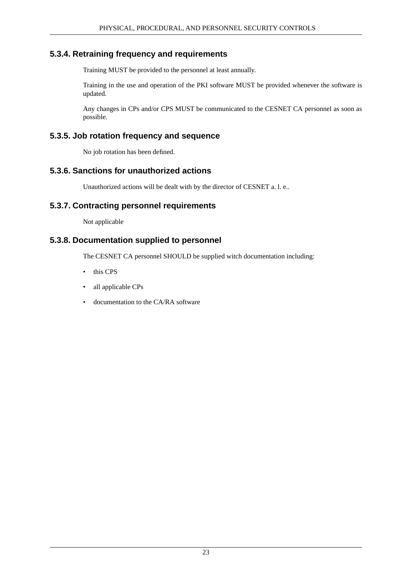### **5.3.4. Retraining frequency and requirements**

<span id="page-29-0"></span>Training MUST be provided to the personnel at least annually.

Training in the use and operation of the PKI software MUST be provided whenever the software is updated.

<span id="page-29-1"></span>Any changes in CPs and/or CPS MUST be communicated to the CESNET CA personnel as soon as possible.

### **5.3.5. Job rotation frequency and sequence**

<span id="page-29-2"></span>No job rotation has been defined.

### **5.3.6. Sanctions for unauthorized actions**

<span id="page-29-3"></span>Unauthorized actions will be dealt with by the director of CESNET a. l. e..

### **5.3.7. Contracting personnel requirements**

<span id="page-29-4"></span>Not applicable

### **5.3.8. Documentation supplied to personnel**

The CESNET CA personnel SHOULD be supplied witch documentation including:

- this CPS
- all applicable CPs
- documentation to the CA/RA software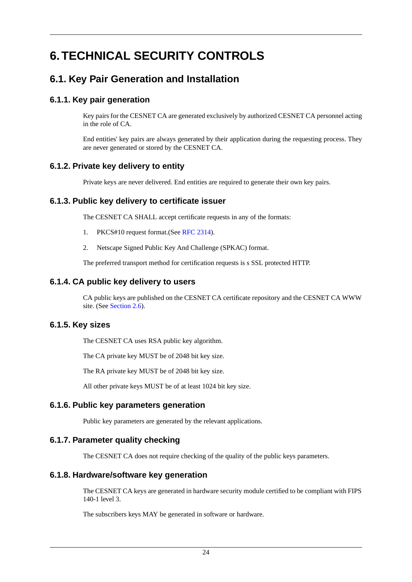# <span id="page-30-1"></span><span id="page-30-0"></span>**6.TECHNICAL SECURITY CONTROLS**

## <span id="page-30-2"></span>**6.1. Key Pair Generation and Installation**

## **6.1.1. Key pair generation**

Key pairs for the CESNET CA are generated exclusively by authorized CESNET CA personnel acting in the role of CA.

<span id="page-30-3"></span>End entities' key pairs are always generated by their application during the requesting process. They are never generated or stored by the CESNET CA.

## **6.1.2. Private key delivery to entity**

<span id="page-30-4"></span>Private keys are never delivered. End entities are required to generate their own key pairs.

## **6.1.3. Public key delivery to certificate issuer**

The CESNET CA SHALL accept certificate requests in any of the formats:

- 1. PKCS#10 request format.(See [RFC 2314\)](#page-39-9).
- <span id="page-30-5"></span>2. Netscape Signed Public Key And Challenge (SPKAC) format.

The preferred transport method for certification requests is s SSL protected HTTP.

## **6.1.4. CA public key delivery to users**

<span id="page-30-6"></span>CA public keys are published on the CESNET CA certificate repository and the CESNET CA WWW site. (See [Section 2.6](#page-14-1)).

## **6.1.5. Key sizes**

The CESNET CA uses RSA public key algorithm.

<span id="page-30-7"></span>The CA private key MUST be of 2048 bit key size.

The RA private key MUST be of 2048 bit key size.

<span id="page-30-8"></span>All other private keys MUST be of at least 1024 bit key size.

## **6.1.6. Public key parameters generation**

<span id="page-30-9"></span>Public key parameters are generated by the relevant applications.

## **6.1.7. Parameter quality checking**

The CESNET CA does not require checking of the quality of the public keys parameters.

## **6.1.8. Hardware/software key generation**

The CESNET CA keys are generated in hardware security module certified to be compliant with FIPS 140-1 level 3.

The subscribers keys MAY be generated in software or hardware.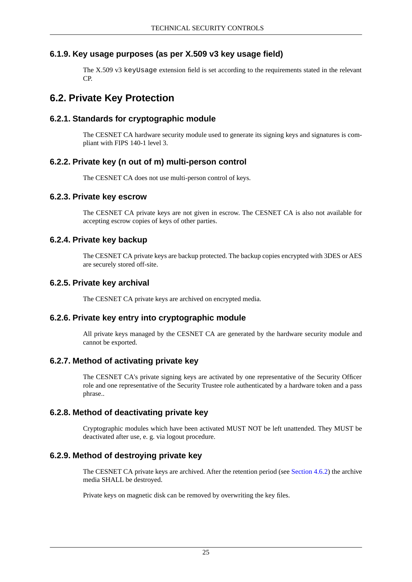## **6.1.9. Key usage purposes (as per X.509 v3 key usage field)**

<span id="page-31-1"></span><span id="page-31-0"></span>The X.509 v3 keyUsage extension field is set according to the requirements stated in the relevant CP.

## <span id="page-31-2"></span>**6.2. Private Key Protection**

### **6.2.1. Standards for cryptographic module**

<span id="page-31-3"></span>The CESNET CA hardware security module used to generate its signing keys and signatures is compliant with FIPS 140-1 level 3.

### **6.2.2. Private key (n out of m) multi-person control**

<span id="page-31-4"></span>The CESNET CA does not use multi-person control of keys.

#### **6.2.3. Private key escrow**

<span id="page-31-5"></span>The CESNET CA private keys are not given in escrow. The CESNET CA is also not available for accepting escrow copies of keys of other parties.

#### **6.2.4. Private key backup**

<span id="page-31-7"></span><span id="page-31-6"></span>The CESNET CA private keys are backup protected. The backup copies encrypted with 3DES or AES are securely stored off-site.

### **6.2.5. Private key archival**

<span id="page-31-8"></span>The CESNET CA private keys are archived on encrypted media.

## **6.2.6. Private key entry into cryptographic module**

All private keys managed by the CESNET CA are generated by the hardware security module and cannot be exported.

#### **6.2.7. Method of activating private key**

<span id="page-31-10"></span><span id="page-31-9"></span>The CESNET CA's private signing keys are activated by one representative of the Security Officer role and one representative of the Security Trustee role authenticated by a hardware token and a pass phrase..

## **6.2.8. Method of deactivating private key**

Cryptographic modules which have been activated MUST NOT be left unattended. They MUST be deactivated after use, e. g. via logout procedure.

#### **6.2.9. Method of destroying private key**

The CESNET CA private keys are archived. After the retention period (see [Section 4.6.2\)](#page-24-0) the archive media SHALL be destroyed.

Private keys on magnetic disk can be removed by overwriting the key files.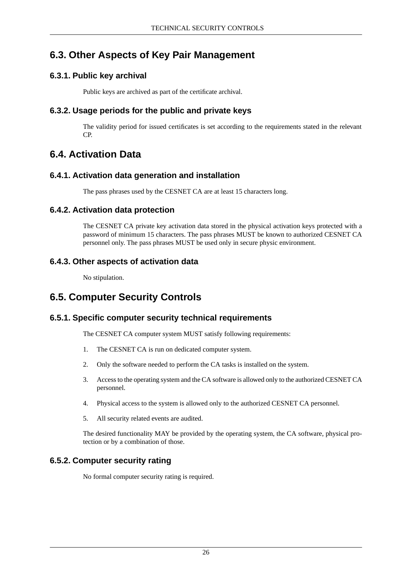## <span id="page-32-1"></span><span id="page-32-0"></span>**6.3. Other Aspects of Key Pair Management**

## **6.3.1. Public key archival**

<span id="page-32-2"></span>Public keys are archived as part of the certificate archival.

## **6.3.2. Usage periods for the public and private keys**

<span id="page-32-3"></span>The validity period for issued certificates is set according to the requirements stated in the relevant CP.

## <span id="page-32-4"></span>**6.4. Activation Data**

## **6.4.1. Activation data generation and installation**

<span id="page-32-5"></span>The pass phrases used by the CESNET CA are at least 15 characters long.

## **6.4.2. Activation data protection**

<span id="page-32-6"></span>The CESNET CA private key activation data stored in the physical activation keys protected with a password of minimum 15 characters. The pass phrases MUST be known to authorized CESNET CA personnel only. The pass phrases MUST be used only in secure physic environment.

## **6.4.3. Other aspects of activation data**

<span id="page-32-8"></span><span id="page-32-7"></span>No stipulation.

## **6.5. Computer Security Controls**

## **6.5.1. Specific computer security technical requirements**

The CESNET CA computer system MUST satisfy following requirements:

- 1. The CESNET CA is run on dedicated computer system.
- 2. Only the software needed to perform the CA tasks is installed on the system.
- 3. Access to the operating system and the CA software is allowed only to the authorized CESNET CA personnel.
- <span id="page-32-9"></span>4. Physical access to the system is allowed only to the authorized CESNET CA personnel.
- 5. All security related events are audited.

The desired functionality MAY be provided by the operating system, the CA software, physical protection or by a combination of those.

## **6.5.2. Computer security rating**

No formal computer security rating is required.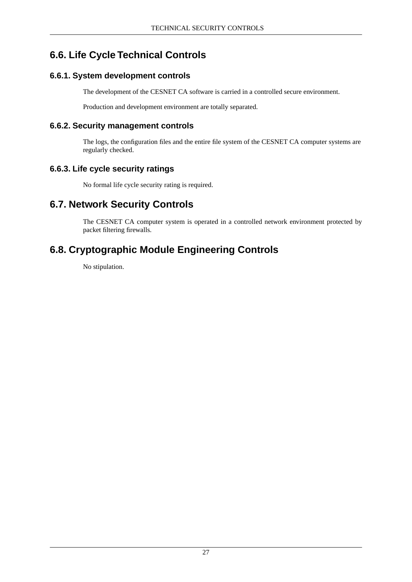## <span id="page-33-0"></span>**6.6. Life Cycle Technical Controls**

## <span id="page-33-1"></span>**6.6.1. System development controls**

The development of the CESNET CA software is carried in a controlled secure environment.

<span id="page-33-2"></span>Production and development environment are totally separated.

## **6.6.2. Security management controls**

<span id="page-33-3"></span>The logs, the configuration files and the entire file system of the CESNET CA computer systems are regularly checked.

## **6.6.3. Life cycle security ratings**

<span id="page-33-4"></span>No formal life cycle security rating is required.

## **6.7. Network Security Controls**

<span id="page-33-5"></span>The CESNET CA computer system is operated in a controlled network environment protected by packet filtering firewalls.

## **6.8. Cryptographic Module Engineering Controls**

No stipulation.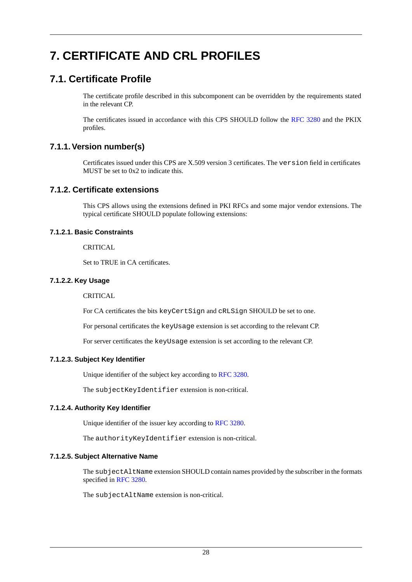# <span id="page-34-1"></span><span id="page-34-0"></span>**7. CERTIFICATE AND CRL PROFILES**

## **7.1. Certificate Profile**

The certificate profile described in this subcomponent can be overridden by the requirements stated in the relevant CP.

<span id="page-34-2"></span>The certificates issued in accordance with this CPS SHOULD follow the [RFC 3280](#page-39-4) and the PKIX profiles.

## **7.1.1.Version number(s)**

<span id="page-34-3"></span>Certificates issued under this CPS are X.509 version 3 certificates. The version field in certificates MUST be set to 0x2 to indicate this.

## **7.1.2. Certificate extensions**

<span id="page-34-4"></span>This CPS allows using the extensions defined in PKI RFCs and some major vendor extensions. The typical certificate SHOULD populate following extensions:

#### **7.1.2.1. Basic Constraints**

<span id="page-34-5"></span>CRITICAL.

Set to TRUE in CA certificates.

#### **7.1.2.2. Key Usage**

CRITICAL

<span id="page-34-6"></span>For CA certificates the bits keyCertSign and cRLSign SHOULD be set to one.

For personal certificates the keyUsage extension is set according to the relevant CP.

For server certificates the keyUsage extension is set according to the relevant CP.

#### **7.1.2.3. Subject Key Identifier**

<span id="page-34-7"></span>Unique identifier of the subject key according to [RFC 3280](#page-39-4).

<span id="page-34-8"></span>The subjectKeyIdentifier extension is non-critical.

#### **7.1.2.4. Authority Key Identifier**

Unique identifier of the issuer key according to [RFC 3280](#page-39-4).

The authorityKeyIdentifier extension is non-critical.

#### **7.1.2.5. Subject Alternative Name**

The subjectAltName extension SHOULD contain names provided by the subscriber in the formats specified in [RFC 3280.](#page-39-4)

The subjectAltName extension is non-critical.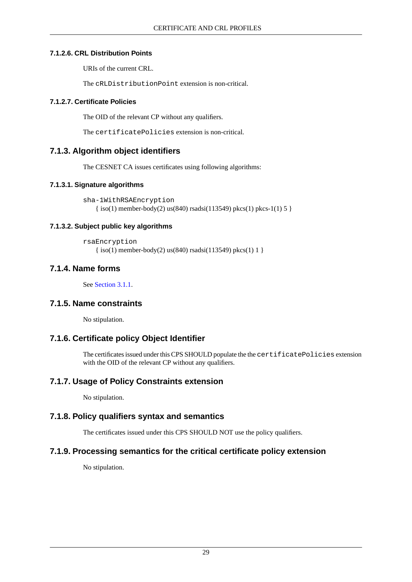#### **7.1.2.6. CRL Distribution Points**

<span id="page-35-0"></span>URIs of the current CRL.

<span id="page-35-1"></span>The cRLDistributionPoint extension is non-critical.

#### **7.1.2.7. Certificate Policies**

The OID of the relevant CP without any qualifiers.

<span id="page-35-2"></span>The certificatePolicies extension is non-critical.

## **7.1.3. Algorithm object identifiers**

<span id="page-35-3"></span>The CESNET CA issues certificates using following algorithms:

#### **7.1.3.1. Signature algorithms**

```
sha-1WithRSAEncryption
  \{ \text{iso}(1) \text{ member-body}(2) \text{ us}(840) \text{ rsadsi}(113549) \text{ pkc}(1) \text{ pkc}-1(1) \text{ 5} \}
```
### **7.1.3.2. Subject public key algorithms**

```
rsaEncryption
{ iso(1) member-body(2) us(840) rsadsi(113549) pkcs(1) 1 }
```
## **7.1.4. Name forms**

<span id="page-35-7"></span><span id="page-35-6"></span>See [Section 3.1.1](#page-16-2).

## **7.1.5. Name constraints**

<span id="page-35-8"></span>No stipulation.

## **7.1.6. Certificate policy Object Identifier**

<span id="page-35-9"></span>The certificates issued under this CPS SHOULD populate the the certificatePolicies extension with the OID of the relevant CP without any qualifiers.

## **7.1.7. Usage of Policy Constraints extension**

<span id="page-35-10"></span>No stipulation.

## **7.1.8. Policy qualifiers syntax and semantics**

The certificates issued under this CPS SHOULD NOT use the policy qualifiers.

## **7.1.9. Processing semantics for the critical certificate policy extension**

No stipulation.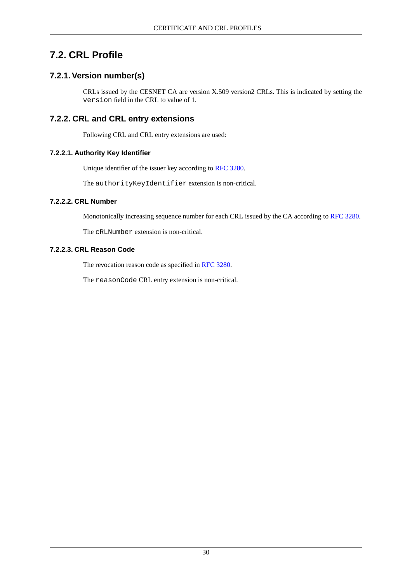## <span id="page-36-1"></span><span id="page-36-0"></span>**7.2. CRL Profile**

## **7.2.1.Version number(s)**

<span id="page-36-2"></span>CRLs issued by the CESNET CA are version X.509 version2 CRLs. This is indicated by setting the version field in the CRL to value of 1.

## **7.2.2. CRL and CRL entry extensions**

<span id="page-36-3"></span>Following CRL and CRL entry extensions are used:

#### **7.2.2.1. Authority Key Identifier**

<span id="page-36-4"></span>Unique identifier of the issuer key according to [RFC 3280](#page-39-4).

The authorityKeyIdentifier extension is non-critical.

### **7.2.2.2. CRL Number**

<span id="page-36-5"></span>Monotonically increasing sequence number for each CRL issued by the CA according to [RFC 3280.](#page-39-4)

The cRLNumber extension is non-critical.

#### **7.2.2.3. CRL Reason Code**

The revocation reason code as specified in [RFC 3280.](#page-39-4)

The reasonCode CRL entry extension is non-critical.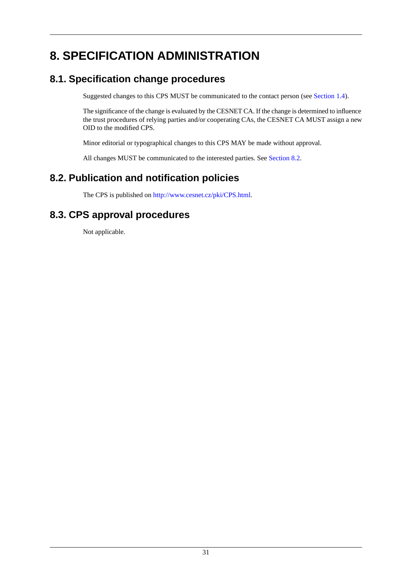# <span id="page-37-1"></span><span id="page-37-0"></span>**8. SPECIFICATION ADMINISTRATION**

## **8.1. Specification change procedures**

Suggested changes to this CPS MUST be communicated to the contact person (see [Section 1.4\)](#page-8-3).

The significance of the change is evaluated by the CESNET CA. If the change is determined to influence the trust procedures of relying parties and/or cooperating CAs, the CESNET CA MUST assign a new OID to the modified CPS.

Minor editorial or typographical changes to this CPS MAY be made without approval.

<span id="page-37-2"></span>All changes MUST be communicated to the interested parties. See [Section 8.2.](#page-37-2)

## **8.2. Publication and notification policies**

<span id="page-37-3"></span>The CPS is published on<http://www.cesnet.cz/pki/CPS.html>.

## **8.3. CPS approval procedures**

Not applicable.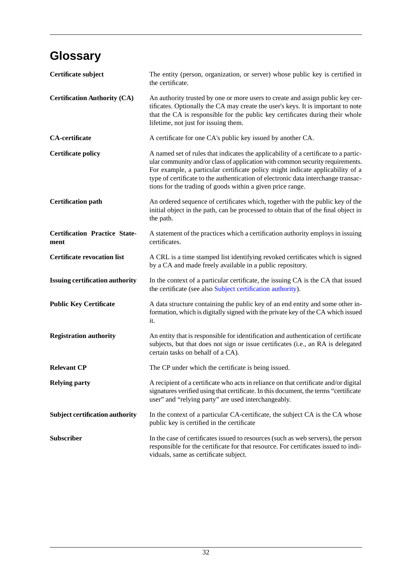# <span id="page-38-0"></span>**Glossary**

<span id="page-38-1"></span>

| Certificate subject                          | The entity (person, organization, or server) whose public key is certified in<br>the certificate.                                                                                                                                                                                                                                                                                                         |
|----------------------------------------------|-----------------------------------------------------------------------------------------------------------------------------------------------------------------------------------------------------------------------------------------------------------------------------------------------------------------------------------------------------------------------------------------------------------|
| <b>Certification Authority (CA)</b>          | An authority trusted by one or more users to create and assign public key cer-<br>tificates. Optionally the CA may create the user's keys. It is important to note<br>that the CA is responsible for the public key certificates during their whole<br>lifetime, not just for issuing them.                                                                                                               |
| <b>CA-certificate</b>                        | A certificate for one CA's public key issued by another CA.                                                                                                                                                                                                                                                                                                                                               |
| <b>Certificate policy</b>                    | A named set of rules that indicates the applicability of a certificate to a partic-<br>ular community and/or class of application with common security requirements.<br>For example, a particular certificate policy might indicate applicability of a<br>type of certificate to the authentication of electronic data interchange transac-<br>tions for the trading of goods within a given price range. |
| <b>Certification path</b>                    | An ordered sequence of certificates which, together with the public key of the<br>initial object in the path, can be processed to obtain that of the final object in<br>the path.                                                                                                                                                                                                                         |
| <b>Certification Practice State-</b><br>ment | A statement of the practices which a certification authority employs in issuing<br>certificates.                                                                                                                                                                                                                                                                                                          |
| <b>Certificate revocation list</b>           | A CRL is a time stamped list identifying revoked certificates which is signed<br>by a CA and made freely available in a public repository.                                                                                                                                                                                                                                                                |
| <b>Issuing certification authority</b>       | In the context of a particular certificate, the issuing CA is the CA that issued<br>the certificate (see also Subject certification authority).                                                                                                                                                                                                                                                           |
| <b>Public Key Certificate</b>                | A data structure containing the public key of an end entity and some other in-<br>formation, which is digitally signed with the private key of the CA which issued<br>it.                                                                                                                                                                                                                                 |
| <b>Registration authority</b>                | An entity that is responsible for identification and authentication of certificate<br>subjects, but that does not sign or issue certificates (i.e., an RA is delegated<br>certain tasks on behalf of a CA).                                                                                                                                                                                               |
| <b>Relevant CP</b>                           | The CP under which the certificate is being issued.                                                                                                                                                                                                                                                                                                                                                       |
| <b>Relying party</b>                         | A recipient of a certificate who acts in reliance on that certificate and/or digital<br>signatures verified using that certificate. In this document, the terms "certificate<br>user" and "relying party" are used interchangeably.                                                                                                                                                                       |
| <b>Subject certification authority</b>       | In the context of a particular CA-certificate, the subject CA is the CA whose<br>public key is certified in the certificate                                                                                                                                                                                                                                                                               |
| Subscriber                                   | In the case of certificates issued to resources (such as web servers), the person<br>responsible for the certificate for that resource. For certificates issued to indi-<br>viduals, same as certificate subject.                                                                                                                                                                                         |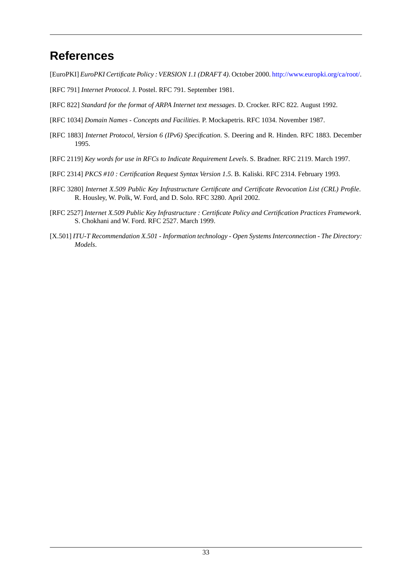## <span id="page-39-0"></span>**References**

<span id="page-39-7"></span>[EuroPKI] *EuroPKI Certificate Policy : VERSION 1.1 (DRAFT 4)*. October 2000.<http://www.europki.org/ca/root/>.

<span id="page-39-5"></span>[RFC 791] *Internet Protocol*. J. Postel. RFC 791. September 1981.

- <span id="page-39-6"></span>[RFC 822] *Standard for the format of ARPA Internet text messages*. D. Crocker. RFC 822. August 1992.
- <span id="page-39-8"></span>[RFC 1034] *Domain Names - Concepts and Facilities*. P. Mockapetris. RFC 1034. November 1987.
- <span id="page-39-2"></span>[RFC 1883] *Internet Protocol, Version 6 (IPv6) Specification*. S. Deering and R. Hinden. RFC 1883. December 1995.
- <span id="page-39-9"></span>[RFC 2119] *Key words for use in RFCs to Indicate Requirement Levels*. S. Bradner. RFC 2119. March 1997.
- <span id="page-39-4"></span>[RFC 2314] *PKCS #10 : Certification Request Syntax Version 1.5*. B. Kaliski. RFC 2314. February 1993.
- <span id="page-39-1"></span>[RFC 3280] *Internet X.509 Public Key Infrastructure Certificate and Certificate Revocation List (CRL) Profile*. R. Housley, W. Polk, W. Ford, and D. Solo. RFC 3280. April 2002.
- <span id="page-39-3"></span>[RFC 2527] *Internet X.509 Public Key Infrastructure : Certificate Policy and Certification Practices Framework*. S. Chokhani and W. Ford. RFC 2527. March 1999.
- [X.501] *ITU-T Recommendation X.501 Information technology Open Systems Interconnection The Directory: Models*.